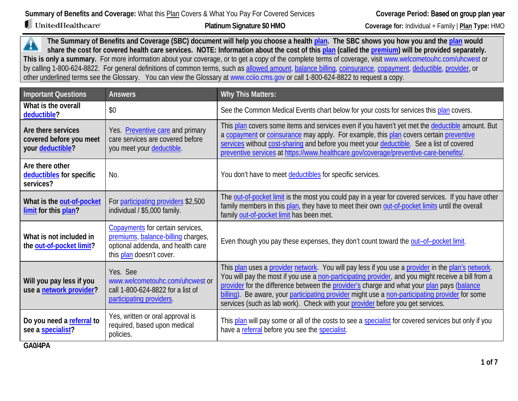UnitedHealthcare®

 **Platinum Signature \$0 HMO** 

**Coverage for:** Individual + Family | **Plan Type:** HMO

**The Summary of Benefits and Coverage (SBC) document will help you choose a health [plan.](https://www.healthcare.gov/sbc-glossary/#plan) The SBC shows you how you and the [plan](https://www.healthcare.gov/sbc-glossary/#plan) would**  ┻ **share the cost for covered health care services. NOTE: Information about the cost of this [plan](https://www.healthcare.gov/sbc-glossary/#plan) (called the [premium\)](https://www.healthcare.gov/sbc-glossary/#premium) will be provided separately. This is only a summary.** For more information about your coverage, or to get a copy of the complete terms of coverage, visit [www.welcometouhc.com/uhcwest](http://www.welcometouhc.com/uhcwest) or by calling 1-800-624-8822. For general definitions of common terms, such as [allowed amount,](https://www.healthcare.gov/sbc-glossary/#allowed-amount) [balance billing,](https://www.healthcare.gov/sbc-glossary/#balance-billing) [coinsurance,](https://www.healthcare.gov/sbc-glossary/#coinsurance) [copayment,](https://www.healthcare.gov/sbc-glossary/#copayment) [deductible,](https://www.healthcare.gov/sbc-glossary/#deductible) [provider,](https://www.healthcare.gov/sbc-glossary/#provider) or other underlined terms see the Glossary. You can view the Glossary at www.cciio.cms.gov or call 1-800-624-8822 to request a copy.

| <b>Important Questions</b>                                                      | <b>Answers</b>                                                                                                                          | <b>Why This Matters:</b>                                                                                                                                                                                                                                                                                                                                                                                                                                                                   |
|---------------------------------------------------------------------------------|-----------------------------------------------------------------------------------------------------------------------------------------|--------------------------------------------------------------------------------------------------------------------------------------------------------------------------------------------------------------------------------------------------------------------------------------------------------------------------------------------------------------------------------------------------------------------------------------------------------------------------------------------|
| What is the overall<br>deductible?                                              | \$0                                                                                                                                     | See the Common Medical Events chart below for your costs for services this plan covers.                                                                                                                                                                                                                                                                                                                                                                                                    |
| Are there services<br>covered before you meet<br>your deductible?               | Yes. Preventive care and primary<br>care services are covered before<br>you meet your deductible.                                       | This plan covers some items and services even if you haven't yet met the deductible amount. But<br>a copayment or coinsurance may apply. For example, this plan covers certain preventive<br>services without cost-sharing and before you meet your deductible. See a list of covered<br>preventive services at https://www.healthcare.gov/coverage/preventive-care-benefits/.                                                                                                             |
| Are there other<br>deductibles for specific<br>services?                        | No.                                                                                                                                     | You don't have to meet deductibles for specific services.                                                                                                                                                                                                                                                                                                                                                                                                                                  |
| What is the out-of-pocket<br>limit for this plan?                               | For participating providers \$2,500<br>individual / \$5,000 family.                                                                     | The out-of-pocket limit is the most you could pay in a year for covered services. If you have other<br>family members in this plan, they have to meet their own out-of-pocket limits until the overall<br>family out-of-pocket limit has been met.                                                                                                                                                                                                                                         |
| What is not included in<br>the out-of-pocket limit?                             | Copayments for certain services,<br>premiums, balance-billing charges,<br>optional addenda, and health care<br>this plan doesn't cover. | Even though you pay these expenses, they don't count toward the out-of-pocket limit.                                                                                                                                                                                                                                                                                                                                                                                                       |
| Will you pay less if you<br>use a network provider?                             | Yes. See<br>www.welcometouhc.com/uhcwest or<br>call 1-800-624-8822 for a list of<br>participating providers.                            | This plan uses a provider network. You will pay less if you use a provider in the plan's network.<br>You will pay the most if you use a non-participating provider, and you might receive a bill from a<br>provider for the difference between the provider's charge and what your plan pays (balance<br>billing). Be aware, your participating provider might use a non-participating provider for some<br>services (such as lab work). Check with your provider before you get services. |
| Do you need a referral to<br>see a specialist?<br>$\bigcap$ $\bigcap$ $\bigcap$ | Yes, written or oral approval is<br>required, based upon medical<br>policies.                                                           | This plan will pay some or all of the costs to see a specialist for covered services but only if you<br>have a referral before you see the specialist.                                                                                                                                                                                                                                                                                                                                     |

**GA0/4PA**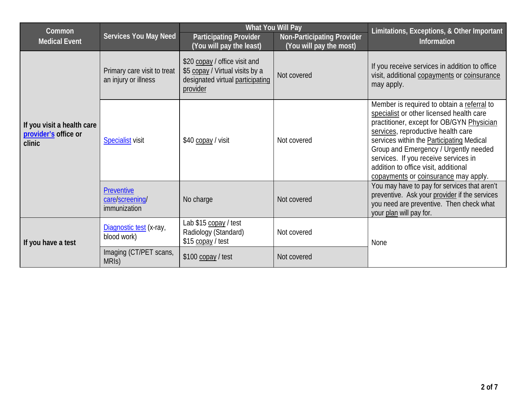| Common                                                       |                                                      |                                                                                                                  | What You Will Pay                                            | Limitations, Exceptions, & Other Important                                                                                                                                                                                                                                                                                                                                              |
|--------------------------------------------------------------|------------------------------------------------------|------------------------------------------------------------------------------------------------------------------|--------------------------------------------------------------|-----------------------------------------------------------------------------------------------------------------------------------------------------------------------------------------------------------------------------------------------------------------------------------------------------------------------------------------------------------------------------------------|
| <b>Medical Event</b>                                         | <b>Services You May Need</b>                         | <b>Participating Provider</b><br>(You will pay the least)                                                        | <b>Non-Participating Provider</b><br>(You will pay the most) | Information                                                                                                                                                                                                                                                                                                                                                                             |
|                                                              | Primary care visit to treat<br>an injury or illness  | \$20 copay / office visit and<br>\$5 copay / Virtual visits by a<br>designated virtual participating<br>provider | Not covered                                                  | If you receive services in addition to office<br>visit, additional copayments or coinsurance<br>may apply.                                                                                                                                                                                                                                                                              |
| If you visit a health care<br>provider's office or<br>clinic | <b>Specialist visit</b>                              | \$40 copay / visit                                                                                               | Not covered                                                  | Member is required to obtain a referral to<br>specialist or other licensed health care<br>practitioner, except for OB/GYN Physician<br>services, reproductive health care<br>services within the Participating Medical<br>Group and Emergency / Urgently needed<br>services. If you receive services in<br>addition to office visit, additional<br>copayments or coinsurance may apply. |
|                                                              | <b>Preventive</b><br>care/screening/<br>immunization | No charge                                                                                                        | Not covered                                                  | You may have to pay for services that aren't<br>preventive. Ask your provider if the services<br>you need are preventive. Then check what<br>your plan will pay for.                                                                                                                                                                                                                    |
| If you have a test                                           | Diagnostic test (x-ray,<br>blood work)               | Lab \$15 copay / test<br>Radiology (Standard)<br>\$15 copay / test                                               | Not covered                                                  | <b>None</b>                                                                                                                                                                                                                                                                                                                                                                             |
|                                                              | Imaging (CT/PET scans,<br>MRIS)                      | \$100 copay / test                                                                                               | Not covered                                                  |                                                                                                                                                                                                                                                                                                                                                                                         |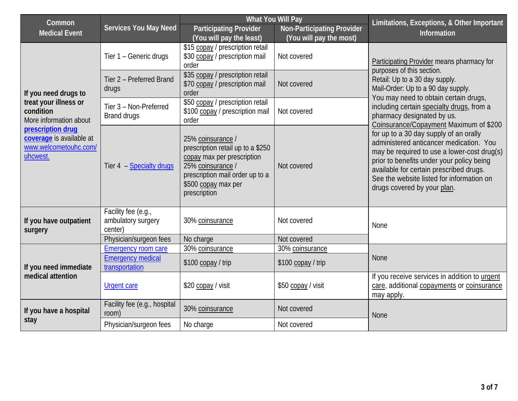| Common                                                                             |                                                      | What You Will Pay                                                                                                                                                                   |                                                              | Limitations, Exceptions, & Other Important                                                                                                                                                                                                                                                           |  |
|------------------------------------------------------------------------------------|------------------------------------------------------|-------------------------------------------------------------------------------------------------------------------------------------------------------------------------------------|--------------------------------------------------------------|------------------------------------------------------------------------------------------------------------------------------------------------------------------------------------------------------------------------------------------------------------------------------------------------------|--|
| <b>Medical Event</b>                                                               | <b>Services You May Need</b>                         | <b>Participating Provider</b><br>(You will pay the least)                                                                                                                           | <b>Non-Participating Provider</b><br>(You will pay the most) | Information                                                                                                                                                                                                                                                                                          |  |
|                                                                                    | Tier 1 - Generic drugs                               | \$15 copay / prescription retail<br>\$30 copay / prescription mail<br>order                                                                                                         | Not covered                                                  | Participating Provider means pharmacy for<br>purposes of this section.<br>Retail: Up to a 30 day supply.<br>Mail-Order: Up to a 90 day supply.<br>You may need to obtain certain drugs,                                                                                                              |  |
| If you need drugs to                                                               | Tier 2 - Preferred Brand<br>drugs                    | \$35 copay / prescription retail<br>\$70 copay / prescription mail<br>order                                                                                                         | Not covered                                                  |                                                                                                                                                                                                                                                                                                      |  |
| treat your illness or<br>condition<br>More information about                       | Tier 3 - Non-Preferred<br>Brand drugs                | \$50 copay / prescription retail<br>\$100 copay / prescription mail<br>order                                                                                                        | Not covered                                                  | including certain specialty drugs, from a<br>pharmacy designated by us.<br>Coinsurance/Copayment Maximum of \$200                                                                                                                                                                                    |  |
| prescription drug<br>coverage is available at<br>www.welcometouhc.com/<br>uhcwest. | Tier 4 - Specialty drugs                             | 25% coinsurance /<br>prescription retail up to a \$250<br>copay max per prescription<br>25% coinsurance /<br>prescription mail order up to a<br>\$500 copay max per<br>prescription | Not covered                                                  | for up to a 30 day supply of an orally<br>administered anticancer medication. You<br>may be required to use a lower-cost drug(s)<br>prior to benefits under your policy being<br>available for certain prescribed drugs.<br>See the website listed for information on<br>drugs covered by your plan. |  |
| If you have outpatient<br>surgery                                                  | Facility fee (e.g.,<br>ambulatory surgery<br>center) | 30% coinsurance                                                                                                                                                                     | Not covered                                                  | None                                                                                                                                                                                                                                                                                                 |  |
|                                                                                    | Physician/surgeon fees                               | No charge                                                                                                                                                                           | Not covered                                                  |                                                                                                                                                                                                                                                                                                      |  |
|                                                                                    | <b>Emergency room care</b>                           | 30% coinsurance                                                                                                                                                                     | 30% coinsurance                                              |                                                                                                                                                                                                                                                                                                      |  |
| If you need immediate<br>medical attention                                         | <b>Emergency medical</b><br>transportation           | \$100 copay / trip                                                                                                                                                                  | \$100 copay / trip                                           | <b>None</b>                                                                                                                                                                                                                                                                                          |  |
|                                                                                    | <b>Urgent care</b>                                   | \$20 copay / visit                                                                                                                                                                  | \$50 copay / visit                                           | If you receive services in addition to urgent<br>care, additional copayments or coinsurance<br>may apply.                                                                                                                                                                                            |  |
| If you have a hospital<br>stay                                                     | Facility fee (e.g., hospital<br>room)                | 30% coinsurance                                                                                                                                                                     | Not covered                                                  | <b>None</b>                                                                                                                                                                                                                                                                                          |  |
|                                                                                    | Physician/surgeon fees                               | No charge                                                                                                                                                                           | Not covered                                                  |                                                                                                                                                                                                                                                                                                      |  |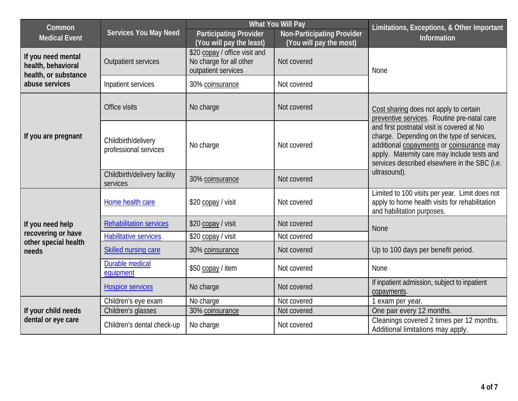| <b>What You Will Pay</b><br>Common                               |                                              |                                                                                 | Limitations, Exceptions, & Other Important                   |                                                                                                                                                                                                                                      |  |
|------------------------------------------------------------------|----------------------------------------------|---------------------------------------------------------------------------------|--------------------------------------------------------------|--------------------------------------------------------------------------------------------------------------------------------------------------------------------------------------------------------------------------------------|--|
| <b>Medical Event</b>                                             | <b>Services You May Need</b>                 | <b>Participating Provider</b><br>(You will pay the least)                       | <b>Non-Participating Provider</b><br>(You will pay the most) | Information                                                                                                                                                                                                                          |  |
| If you need mental<br>health, behavioral<br>health, or substance | <b>Outpatient services</b>                   | \$20 copay / office visit and<br>No charge for all other<br>outpatient services | Not covered                                                  | None                                                                                                                                                                                                                                 |  |
| abuse services                                                   | Inpatient services                           | 30% coinsurance                                                                 | Not covered                                                  |                                                                                                                                                                                                                                      |  |
|                                                                  | Office visits                                | No charge                                                                       | Not covered                                                  | Cost sharing does not apply to certain<br>preventive services. Routine pre-natal care                                                                                                                                                |  |
| If you are pregnant                                              | Childbirth/delivery<br>professional services | No charge                                                                       | Not covered                                                  | and first postnatal visit is covered at No<br>charge. Depending on the type of services,<br>additional copayments or coinsurance may<br>apply. Maternity care may include tests and<br>services described elsewhere in the SBC (i.e. |  |
|                                                                  | Childbirth/delivery facility<br>services     | 30% coinsurance                                                                 | Not covered                                                  | ultrasound).                                                                                                                                                                                                                         |  |
|                                                                  | Home health care                             | \$20 copay / visit                                                              | Not covered                                                  | Limited to 100 visits per year. Limit does not<br>apply to home health visits for rehabilitation<br>and habilitation purposes.                                                                                                       |  |
| If you need help                                                 | <b>Rehabilitation services</b>               | \$20 copay / visit                                                              | Not covered                                                  | <b>None</b>                                                                                                                                                                                                                          |  |
| recovering or have<br>other special health                       | <b>Habilitative services</b>                 | \$20 copay / visit                                                              | Not covered                                                  |                                                                                                                                                                                                                                      |  |
| needs                                                            | Skilled nursing care                         | 30% coinsurance                                                                 | Not covered                                                  | Up to 100 days per benefit period.                                                                                                                                                                                                   |  |
|                                                                  | <b>Durable medical</b><br>equipment          | \$50 copay / item                                                               | Not covered                                                  | None                                                                                                                                                                                                                                 |  |
|                                                                  | <b>Hospice services</b>                      | No charge                                                                       | Not covered                                                  | If inpatient admission, subject to inpatient<br>copayments.                                                                                                                                                                          |  |
|                                                                  | Children's eye exam                          | No charge                                                                       | Not covered                                                  | 1 exam per year.                                                                                                                                                                                                                     |  |
| If your child needs                                              | Children's glasses                           | 30% coinsurance                                                                 | Not covered                                                  | One pair every 12 months.                                                                                                                                                                                                            |  |
| dental or eye care                                               | Children's dental check-up                   | No charge                                                                       | Not covered                                                  | Cleanings covered 2 times per 12 months.<br>Additional limitations may apply.                                                                                                                                                        |  |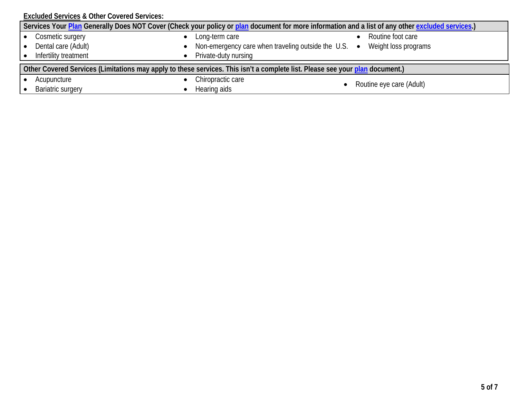**Excluded Services & Other Covered Services:**

| Services Your Plan Generally Does NOT Cover (Check your policy or plan document for more information and a list of any other excluded services.) |                                                                                  |                          |  |
|--------------------------------------------------------------------------------------------------------------------------------------------------|----------------------------------------------------------------------------------|--------------------------|--|
| Cosmetic surgery<br>Dental care (Adult)                                                                                                          | Long-term care<br>Non-emergency care when traveling outside the $U.S.$ $\bullet$ | Routine foot care        |  |
| Infertility treatment                                                                                                                            | Private-duty nursing                                                             | Weight loss programs     |  |
| Other Covered Services (Limitations may apply to these services. This isn't a complete list. Please see your plan document.)                     |                                                                                  |                          |  |
| Acupuncture                                                                                                                                      | Chiropractic care                                                                | Routine eye care (Adult) |  |
| <b>Bariatric surgery</b>                                                                                                                         | Hearing aids                                                                     |                          |  |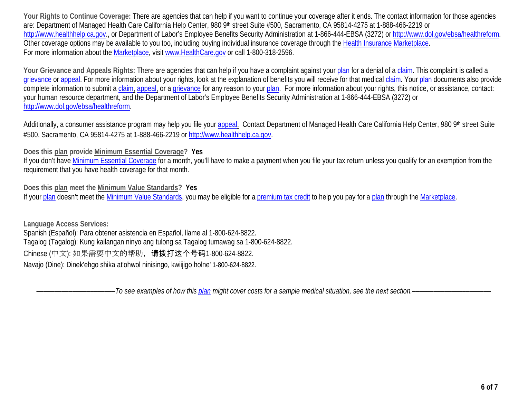**Your Rights to Continue Coverage:** There are agencies that can help if you want to continue your coverage after it ends. The contact information for those agencies are: Department of Managed Health Care California Help Center, 980 9th street Suite #500, Sacramento, CA 95814-4275 at 1-888-466-2219 or [http://www.healthhelp.ca.gov.](http://www.healthhelp.ca.gov/), or Department of Labor's Employee Benefits Security Administration at 1-866-444-EBSA (3272) o[r http://www.dol.gov/ebsa/healthreform.](http://www.dol.gov/ebsa/healthreform) Other coverage options may be available to you too, including buying individual insurance coverage through the Health Insurance [Marketplace.](https://www.healthcare.gov/sbc-glossary/#marketplace) For more information about the [Marketplace,](https://www.healthcare.gov/sbc-glossary/#marketplace) visit [www.HealthCare.gov](http://www.healthcare.gov/) or call 1-800-318-2596.

**Your Grievance and Appeals Rights:** There are agencies that can help if you have a complaint against you[r plan](https://www.healthcare.gov/sbc-glossary/#plan) for a denial of a [claim.](https://www.healthcare.gov/sbc-glossary/#claim) This complaint is called a [grievance](https://www.healthcare.gov/sbc-glossary/#grievance) or [appeal.](https://www.healthcare.gov/sbc-glossary/#appeal) For more information about your rights, look at the explanation of benefits you will receive for that medica[l claim.](https://www.healthcare.gov/sbc-glossary/#claim) Your [plan](https://www.healthcare.gov/sbc-glossary/#plan) documents also provide complete information to submit a [claim,](https://www.healthcare.gov/sbc-glossary/#claim) [appeal,](https://www.healthcare.gov/sbc-glossary/#appeal) or a [grievance](https://www.healthcare.gov/sbc-glossary/#grievance) for any reason to your [plan.](https://www.healthcare.gov/sbc-glossary/#plan) For more information about your rights, this notice, or assistance, contact: your human resource department, and the Department of Labor's Employee Benefits Security Administration at 1-866-444-EBSA (3272) or [http://www.dol.gov/ebsa/healthreform.](http://www.dol.gov/ebsa/healthreform)

Additionally, a consumer assistance program may help you file your appeal. Contact Department of Managed Health Care California Help Center, 980 9th street Suite #500, Sacramento, CA 95814-4275 at 1-888-466-2219 or [http://www.healthhelp.ca.gov.](http://www.healthhelp.ca.gov/)

**Does this plan provide Minimum Essential Coverage? Yes**

If you don't have [Minimum Essential Coverage](https://www.healthcare.gov/sbc-glossary/#minimum-essential-coverage) for a month, you'll have to make a payment when you file your tax return unless you qualify for an exemption from the requirement that you have health coverage for that month.

**Does this plan meet the Minimum Value Standards? Yes**

If your [plan](https://www.healthcare.gov/sbc-glossary/#plan) doesn't meet the [Minimum Value Standards,](https://www.healthcare.gov/sbc-glossary/#minimum-value-standard) you may be eligible for a [premium tax credit](https://www.healthcare.gov/sbc-glossary/#premium-tax-credits) to help you pay for a plan through the [Marketplace.](https://www.healthcare.gov/sbc-glossary/#marketplace)

**Language Access Services:** Spanish (Español): Para obtener asistencia en Español, llame al 1-800-624-8822. Tagalog (Tagalog): Kung kailangan ninyo ang tulong sa Tagalog tumawag sa 1-800-624-8822. Chinese (中文): 如果需要中文的帮助,请拨打这个号码1-800-624-8822. Navajo (Dine): Dinek'ehgo shika at'ohwol ninisingo, kwiijigo holne' 1-800-624-8822.

––––––––––––––––––––––*To see examples of how this plan might cover costs for a sample medical situation, see the next section.–––––––––––*–––––––––––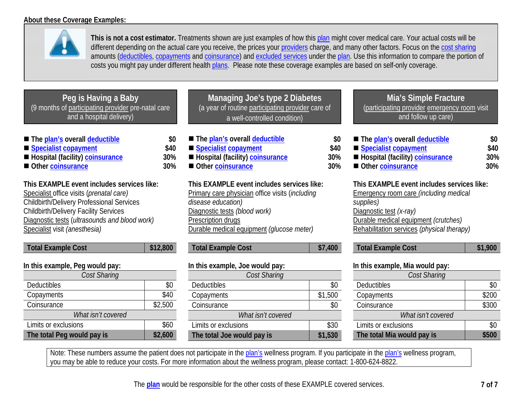

**This is not a cost estimator.** Treatments shown are just examples of how this [plan](https://www.healthcare.gov/sbc-glossary/#plan) might cover medical care. Your actual costs will be different depending on the actual care you receive, the prices your [providers](https://www.healthcare.gov/sbc-glossary/#provider) charge, and many other factors. Focus on the [cost sharing](https://www.healthcare.gov/sbc-glossary/#cost-sharing) amounts [\(deductibles,](https://www.healthcare.gov/sbc-glossary/#deductible) [copayments](https://www.healthcare.gov/sbc-glossary/#copayment) and [coinsurance\)](https://www.healthcare.gov/sbc-glossary/#coinsurance) and [excluded services](https://www.healthcare.gov/sbc-glossary/#excluded-services) under the [plan.](https://www.healthcare.gov/sbc-glossary/#plan) Use this information to compare the portion of costs you might pay under different health [plans.](https://www.healthcare.gov/sbc-glossary/#plan) Please note these coverage examples are based on self-only coverage.

| <u>l Peg is Having a Baby</u>                      |
|----------------------------------------------------|
| (9 months of participating provider pre-natal care |
| and a hospital delivery)                           |

| ■ The plan's overall deductible                                               | \$0  |
|-------------------------------------------------------------------------------|------|
| ■ Specialist copayment                                                        | \$40 |
| $\blacksquare$ The control $\ell$ for all the $\lambda$ -control control of a | nnni |

- Hospital (facility[\) coinsurance](https://www.healthcare.gov/sbc-glossary/#coinsurance) 30%
- Other **coinsurance** 30%

**This EXAMPLE event includes services like:**  Specialist office visits (*prenatal care)* Childbirth/Delivery Professional Services

Childbirth/Delivery Facility Services Diagnostic tests (*ultrasounds and blood work)* Specialist visit *(anesthesia)* 

| In this example, Peg would pay: |         |
|---------------------------------|---------|
| Cost Sharing                    |         |
| Deductibles                     | \$0     |
| Copayments                      | \$40    |
| Coinsurance                     | \$2,500 |
| What isn't covered              |         |
| Limits or exclusions            | \$60    |
| The total Peg would pay is      | \$2,600 |

**Total Example Cost** 812,800

| Managing Joe's type 2 Diabetes                    |
|---------------------------------------------------|
| (a year of routine participating provider care of |
| a well-controlled condition)                      |

| ■ The plan's overall deductible   | \$0  |
|-----------------------------------|------|
| Specialist copayment              | \$40 |
| ■ Hospital (facility) coinsurance | 30%  |
| Other coinsurance                 | 30%  |

**This EXAMPLE event includes services like:**  Primary care physician office visits (*including disease education)* Diagnostic tests *(blood work)* Prescription drugs Durable medical equipment *(glucose meter)* 

| <b>Total Example Cost</b> | \$7,400 |
|---------------------------|---------|
|                           |         |

| In this example, Joe would pay: |         |  |
|---------------------------------|---------|--|
| <b>Cost Sharing</b>             |         |  |
| Deductibles                     | SO.     |  |
| Copayments                      | \$1,500 |  |
| Coinsurance                     |         |  |
| What isn't covered              |         |  |
| Limits or exclusions            | \$30    |  |
| The total Joe would pay is      | \$1,530 |  |

## **Mia's Simple Fracture** (participating provider emergency room visit and follow up care)

| \$0        |
|------------|
| \$40       |
| <b>30%</b> |
| 30%        |
|            |

**This EXAMPLE event includes services like:**  Emergency room care *(including medical supplies)* Diagnostic test *(x-ray)* Durable medical equipment *(crutches)* Rehabilitation services *(physical therapy)*

| <b>Total Example Cost</b> | \$1,900 |
|---------------------------|---------|
|---------------------------|---------|

| In this example, Mia would pay: |       |  |
|---------------------------------|-------|--|
| Cost Sharing                    |       |  |
| Deductibles                     | \$0   |  |
| Copayments                      | \$200 |  |
| Coinsurance                     | \$300 |  |
| What isn't covered              |       |  |
| Limits or exclusions            | SC.   |  |
| The total Mia would pay is      |       |  |

Note: These numbers assume the patient does not participate in the plan's wellness program. If you participate in the plan's wellness program, you may be able to reduce your costs. For more information about the wellness program, please contact: 1-800-624-8822.

The **[plan](https://www.healthcare.gov/sbc-glossary/#plan)** would be responsible for the other costs of these EXAMPLE covered services. **7 of 7**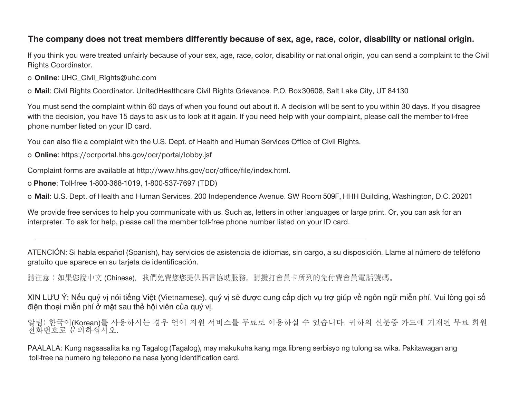## **The company does not treat members differently because of sex, age, race, color, disability or national origin.**

If you think you were treated unfairly because of your sex, age, race, color, disability or national origin, you can send a complaint to the Civil Rights Coordinator.

o **Online**: [UHC\\_Civil\\_Rights@uhc.com](mailto:UHC_Civil_Rights@uhc.com)

o **Mail**: Civil Rights Coordinator. UnitedHealthcare Civil Rights Grievance. P.O. Box30608, Salt Lake City, UT 84130

You must send the complaint within 60 days of when you found out about it. A decision will be sent to you within 30 days. If you disagree with the decision, you have 15 days to ask us to look at it again. If you need help with your complaint, please call the member toll-free phone number listed on your ID card.

You can also file a complaint with the U.S. Dept. of Health and Human Services Office of Civil Rights.

o **Online**: https://ocrportal.hhs.gov/ocr/portal/lobby.jsf

Complaint forms are a[vailable at http://www.hhs.gov/ocr/office/file/index.html.](http://www.hhs.gov/ocr/office/file/index.html)

o **Phone**: Toll-free 1-800-368-1019, 1-800-537-7697 (TDD)

o **Mail**: U.S. Dept. of Health and Human Services. 200 Independence Avenue. SW Room 509F, HHH Building, Washington, D.C. 20201

We provide free services to help you communicate with us. Such as, letters in other languages or large print. Or, you can ask for an interpreter. To ask for help, please call the member toll-free phone number listed on your ID card.

ATENCIÓN: Si habla español (Spanish), hay servicios de asistencia de idiomas, sin cargo, a su disposición. Llame al número de teléfono gratuito que aparece en su tarjeta de identificación.

請注意:如果您說中文 (Chinese), 我們免費您您提供語言協助服務。請撥打會員卡所列的免付費會員電話號碼。

XIN LƯU Ý: Nếu quý vị nói tiếng Việt (Vietnamese), quý vị sẽ được cung cấp dịch vụ trợ giúp về ngôn ngữ miễn phí. Vui lòng gọi số điện thoại miễn phí ở mặt sau thẻ hội viên của quý vị.

알림: 한국어(Korean)를 사용하시는 경우 언어 지원 서비스를 무료로 이용하실 수 있습니다. 귀하의 신분증 카드에 기재된 무료 회원 전화번호로 문의하십시오.

PAALALA: Kung nagsasalita ka ng Tagalog (Tagalog), may makukuha kang mga libreng serbisyo ng tulong sa wika. Pakitawagan ang toll-free na numero ng telepono na nasa iyong identification card.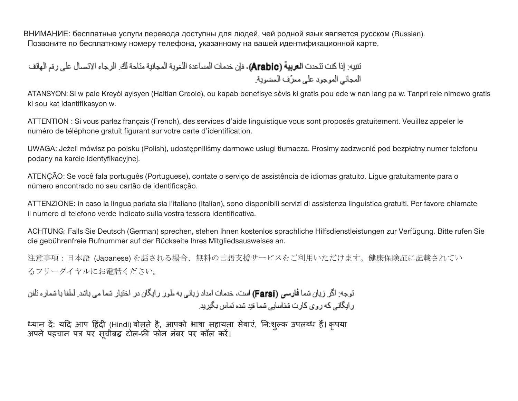ВНИМАНИЕ: бесплатные услуги перевода доступны для людей, чей родной язык является русском (Russian). Позвоните по бесплатному номеру телефона, указанному на вашей идентификационной карте.

انتبيه: إذا كتت تتحدث ا**لعربية (Arabic)**، فإن خدمات المساعدة اللغوية المجانية مثاحة لك. الرجاء الاتصال على رقم الهاتف المجاني الموجود على معرَّف العضوية.

ATANSYON: Si w pale Kreyòl ayisyen (Haitian Creole), ou kapab benefisye sèvis ki gratis pou ede w nan lang pa w. Tanpri rele nimewo gratis ki sou kat idantifikasyon w.

ATTENTION : Si vous parlez français (French), des services d'aide linguistique vous sont proposés gratuitement. Veuillez appeler le numéro de téléphone gratuit figurant sur votre carte d'identification.

UWAGA: Jeżeli mówisz po polsku (Polish), udostępniliśmy darmowe usługi tłumacza. Prosimy zadzwonić pod bezpłatny numer telefonu podany na karcie identyfikacyjnej.

ATENÇÃO: Se você fala português (Portuguese), contate o serviço de assistência de idiomas gratuito. Ligue gratuitamente para o número encontrado no seu cartão de identificação.

ATTENZIONE: in caso la lingua parlata sia l'italiano (Italian), sono disponibili servizi di assistenza linguistica gratuiti. Per favore chiamate il numero di telefono verde indicato sulla vostra tessera identificativa.

ACHTUNG: Falls Sie Deutsch (German) sprechen, stehen Ihnen kostenlos sprachliche Hilfsdienstleistungen zur Verfügung. Bitte rufen Sie die gebührenfreie Rufnummer auf der Rückseite Ihres Mitgliedsausweises an.

注意事項:日本語 (Japanese) を話される場合、無料の言語支援サービスをご利用いただけます。健康保険証に記載されてい るフリーダイヤルにお電話ください。

انوجه: اگر زیان شما **فارسی (Farsi)** است، خدمات امداد زیانی به طور رابگان در اختیار شما می باشد. لطفا با شمار ه تلفن ر ایگانی که روی کارت شناسایی شما فید شده نماس بگیرید.

ध्यान दे: यदि आप हिंदी (Hindi) बोलते है, आपको भाषा सहायता सेबाएं, नि:शुल्क उपलब्ध हैं। कृपया अपने पहचान पत्र पर सूचीबद्ध टोल-फ्री फोन नबर पर कॉल करें।